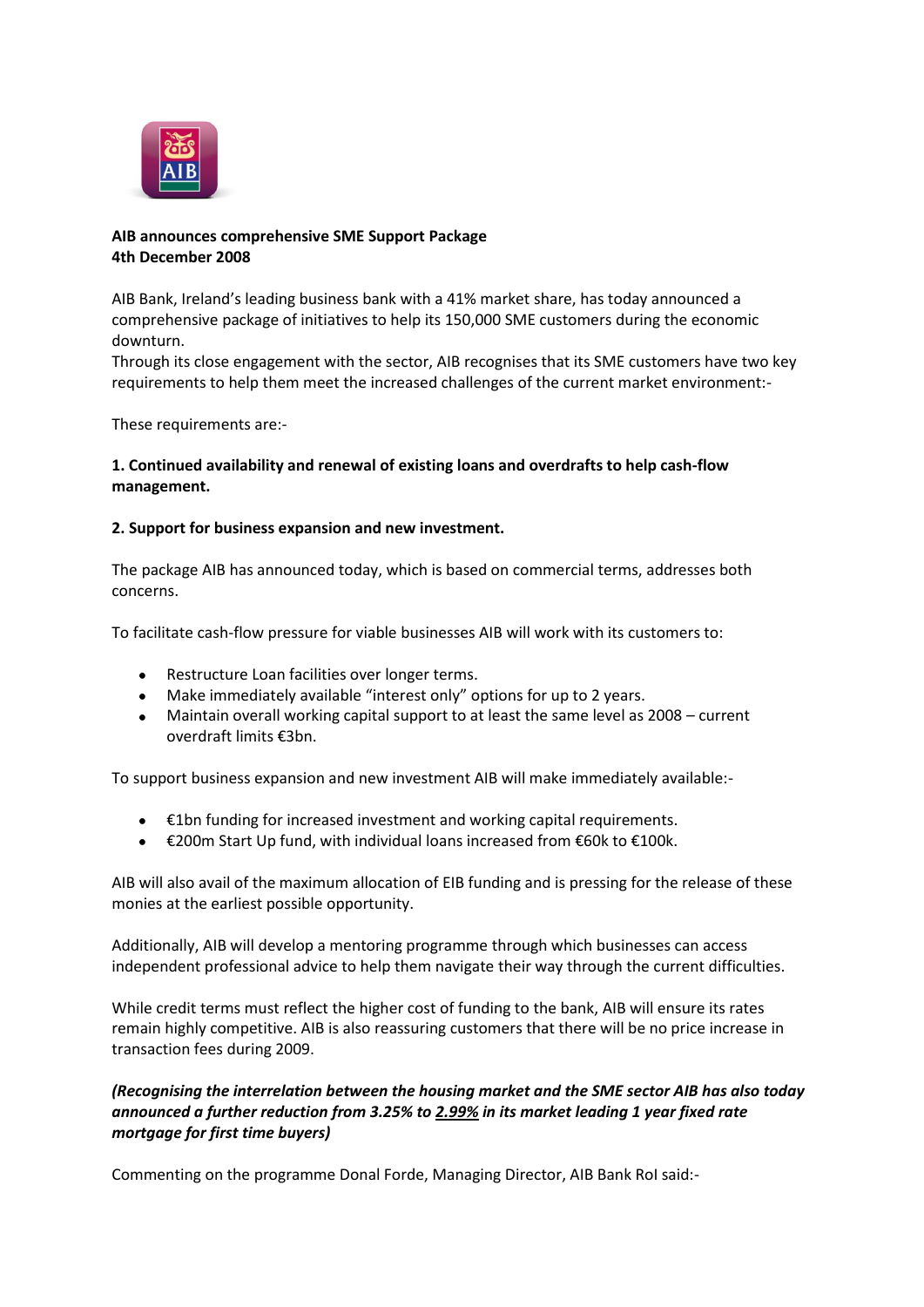

# **AIB announces comprehensive SME Support Package 4th December 2008**

AIB Bank, Ireland's leading business bank with a 41% market share, has today announced a comprehensive package of initiatives to help its 150,000 SME customers during the economic downturn.

Through its close engagement with the sector, AIB recognises that its SME customers have two key requirements to help them meet the increased challenges of the current market environment:-

These requirements are:-

## **1. Continued availability and renewal of existing loans and overdrafts to help cash-flow management.**

### **2. Support for business expansion and new investment.**

The package AIB has announced today, which is based on commercial terms, addresses both concerns.

To facilitate cash-flow pressure for viable businesses AIB will work with its customers to:

- Restructure Loan facilities over longer terms.
- Make immediately available "interest only" options for up to 2 years.
- Maintain overall working capital support to at least the same level as 2008 current overdraft limits €3bn.

To support business expansion and new investment AIB will make immediately available:-

- €1bn funding for increased investment and working capital requirements.
- €200m Start Up fund, with individual loans increased from €60k to €100k.  $\bullet$

AIB will also avail of the maximum allocation of EIB funding and is pressing for the release of these monies at the earliest possible opportunity.

Additionally, AIB will develop a mentoring programme through which businesses can access independent professional advice to help them navigate their way through the current difficulties.

While credit terms must reflect the higher cost of funding to the bank, AIB will ensure its rates remain highly competitive. AIB is also reassuring customers that there will be no price increase in transaction fees during 2009.

# *(Recognising the interrelation between the housing market and the SME sector AIB has also today announced a further reduction from 3.25% to 2.99% in its market leading 1 year fixed rate mortgage for first time buyers)*

Commenting on the programme Donal Forde, Managing Director, AIB Bank RoI said:-